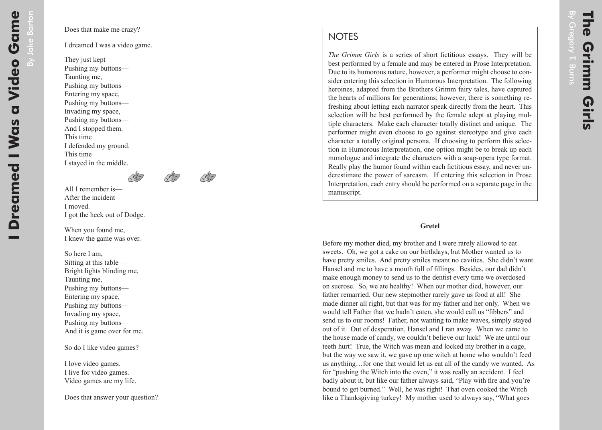## **NOTES**

*The Grimm Girls* is a series of short fictitious essays. They will be best performed by a female and may be entered in Prose Interpretation. Due to its humorous nature, however, a performer might choose to consider entering this selection in Humorous Interpretation. The following heroines, adapted from the Brothers Grimm fairy tales, have captured the hearts of millions for generations; however, there is something refreshing about letting each narrator speak directly from the heart. This selection will be best performed by the female adept at playing multiple characters. Make each character totally distinct and unique. The performer might even choose to go against stereotype and give each character a totally original persona. If choosing to perform this selection in Humorous Interpretation, one option might be to break up each monologue and integrate the characters with a soap-opera type format. Really play the humor found within each fictitious essay, and never underestimate the power of sarcasm. If entering this selection in Prose Interpretation, each entry should be performed on a separate page in the manuscript.

## **Gretel**

Before my mother died, my brother and I were rarely allowed to eat sweets. Oh, we got a cake on our birthdays, but Mother wanted us to have pretty smiles. And pretty smiles meant no cavities. She didn't want Hansel and me to have a mouth full of fillings. Besides, our dad didn't make enough money to send us to the dentist every time we overdosed on sucrose. So, we ate healthy! When our mother died, however, our father remarried. Our new stepmother rarely gave us food at all! She made dinner all right, but that was for my father and her only. When we would tell Father that we hadn't eaten, she would call us "fibbers" and send us to our rooms! Father, not wanting to make waves, simply stayed out of it. Out of desperation, Hansel and I ran away. When we came to the house made of candy, we couldn't believe our luck! We ate until our teeth hurt! True, the Witch was mean and locked my brother in a cage, but the way we saw it, we gave up one witch at home who wouldn't feed us anything…for one that would let us eat all of the candy we wanted. As for "pushing the Witch into the oven," it was really an accident. I feel badly about it, but like our father always said, "Play with fire and you're bound to get burned." Well, he was right! That oven cooked the Witch like a Thanksgiving turkey! My mother used to always say, "What goes